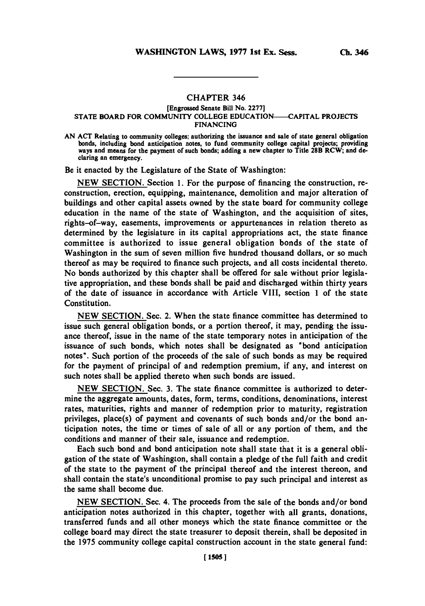# **CHAPTER** 346

### [Engrossed Senate Bill No. **2277] STATE** BOARD FOR **COMMUNITY COLLEGE EDUCATION--CAPITAL PROJECTS FINANCING**

**AN ACT** Relating to community colleges; authorizing the issuance and sale of state general obligation bonds, including bond anticipation notes, to fund community college capital projects; providing ways and means for the payment of such bonds; adding a new chapter to Title 28B RCW; and **de**claring an emergency.

Be it enacted **by** the Legislature of the State of Washington:

**NEW** SECTION. Section **1.** For the purpose of financing the construction, reconstruction, erection, equipping, maintenance, demolition and major alteration of buildings and other capital assets owned **by** the state board for community college education in the name of the state of Washington, and the acquisition of sites, rights-of-way, easements, improvements or appurtenances in relation thereto as determined **by** the legislature in its capital appropriations act, the state finance committee is authorized to issue general obligation bonds of the state of Washington in the sum of seven million five hundred thousand dollars, or so much thereof as may be required to finance such projects, and all costs incidental thereto. No bonds authorized **by** this chapter shall be offered for sale without prior legislative appropriation, and these bonds shall be paid and discharged within thirty years of the date of issuance in accordance with Article VIII, section 1 of the state Constitution.

**NEW** SECTION. Sec. 2. When the state finance committee has determined to issue such general obligation bonds, or a portion thereof, it may, pending the issuance thereof, issue in the name of the state temporary notes in anticipation of the issuance of such bonds, which notes shall be designated as "bond anticipation notes". Such portion of the proceeds of the sale of such bonds as may be required for the payment of principal of and redemption premium, if any, and interest on such notes shall be applied thereto when such bonds are issued.

**NEW** SECTION. Sec. **3.** The state finance committee is authorized to determine the aggregate amounts, dates, form, terms, conditions, denominations, interest rates, maturities, rights and manner of redemption prior to maturity, registration privileges, place(s) of payment and covenants of such bonds and/or the bond anticipation notes, the time or times of sale of all or any portion of them, and the conditions and manner of their sale, issuance and redemption.

Each such bond and bond anticipation note shall state that it is a general obligation of the state of Washington, shall contain a pledge of the full faith and credit of the state to the payment of the principal thereof and the interest thereon, and shall contain the state's unconditional promise to pay such principal and interest as the same shall become due.

**NEW** SECTION. Sec. 4. The proceeds from the sale of the bonds and/or bond anticipation notes authorized in this chapter, together with all grants, donations, transferred funds and all other moneys which the state finance committee or the college board may direct the state treasurer to deposit therein, shall be deposited in the **1975** community college capital construction account in the state general fund: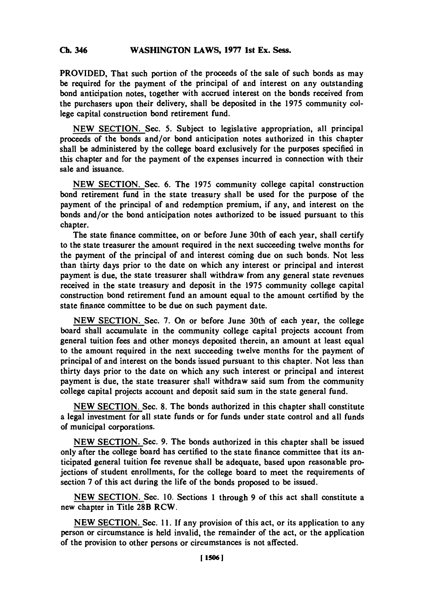#### **Ch 346WASHINGTON** LAWS, **1977** 1st Ex. Sess. **Ch.** 346

PROVIDED, That such portion of the proceeds of the sale of such bonds as may be required for the payment of the principal of and interest on any outstanding bond anticipation notes, together with accrued interest on the bonds received from the purchasers upon their delivery, shall be deposited in the **1975** community **col**lege capital construction bond retirement fund.

**NEW** SECTION. Sec. **5.** Subject to legislative appropriation, all principal proceeds of the bonds and/or bond anticipation notes authorized in this chapter shall be administered **by** the college board exclusively for the purposes specified in this chapter and for the payment of the expenses incurred in connection with their sale and issuance.

**NEW** SECTION. Sec. **6.** The **1975** community college capital construction bond retirement fund in the state treasury shall be used for the purpose of the payment of the principal of and redemption premium, if any, and interest on the bonds and/or the bond anticipation notes authorized to be issued pursuant to this chapter.

The state finance committee, on or before June 30th of each year, shall certify to the state treasurer the amount required in the next succeeding twelve months for the payment of the principal of and interest coming due on such bonds. Not less than thirty days prior to the date on which any interest or principal and interest payment is due, the state treasurer shall withdraw from any general state revenues received in the state treasury and deposit in the **1975** community college capital construction bond retirement fund an amount equal to the amount certified **by** the state finance committee to be due on such payment date.

**NEW** SECTION. Sec. **7.** On or before June 30th of each year, the college board shall accumulate in the community college capital projects account from general tuition fees and other moneys deposited therein, an amount at least equal to the amount required in the next succeeding twelve months for the payment of principal of and interest on the bonds issued pursuant to this chapter. Not less than thirty days prior'to the date on which any such interest or principal and interest payment is due, the state treasurer shall withdraw said sum from the community college capital projects account and deposit said sum in the state general fund.

**NEW** SECTION. Sec. **8.** The bonds authorized in this chapter shall constitute a legal investment for all state funds or for funds under state control and all funds of municipal corporations.

**NEW** SECTION. Sec. **9.** The bonds authorized in this chapter shall be issued only after the college board has certified to the state finance committee that its anticipated general tuition fee revenue shall be adequate, based upon reasonable projections of student enrollments, for the college board to meet the requirements of section **7** of this act during the life of the bonds proposed to be issued.

**NEW** SECTION. Sec. **10.** Sections **I** through **9** of this act shall constitute a new chapter in Title 28B RCW.

**NEW** SECTION. Sec. *11.* **If** any provision of this act, or its application to any person or circumstance is held invalid, the remainder of the act, or the application of the provision to other persons or circumstances is not affected.